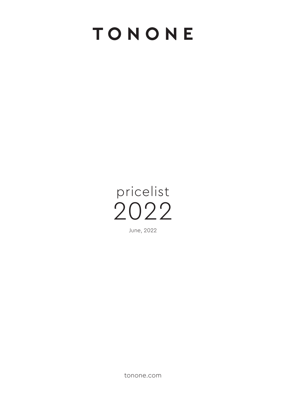## TONONE



tonone.com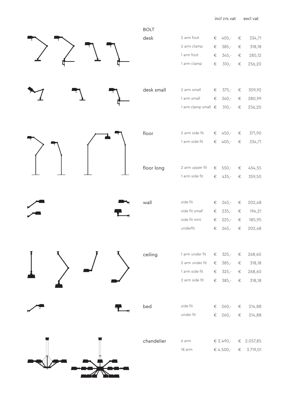incl 21% vat excl vat

|  |  | <b>BOLT</b> |                                 |                |                    |                |                  |
|--|--|-------------|---------------------------------|----------------|--------------------|----------------|------------------|
|  |  | desk        | 2 arm foot                      | $\in$          | $405 -$            | $\in$          | 334,71           |
|  |  |             | 2 arm clamp                     | $\in$          | $385 -$            | $\in$          | 318,18           |
|  |  |             | 1 arm foot                      | $\in$          | $345 -$            | $\in$          | 285,12           |
|  |  |             | 1 arm clamp                     | $\in$          | $310 -$            | $\in$          | 256,20           |
|  |  | desk small  | 2 arm small                     | $\in$          | $375 -$            | $\in$          | 309,92           |
|  |  |             | 1 arm small                     | $\in$          | $340 -$            | $\in$          | 280,99           |
|  |  |             | 1 arm clamp small $\epsilon$    |                | $310 -$            | $\in$          | 256,20           |
|  |  | floor       | 2 arm side fit                  | €              | $450 -$            | $\in$          | 371,90           |
|  |  |             | 1 arm side fit                  | $\in$          | $405 -$            | $\in$          | 334,71           |
|  |  | floor long  | 2 arm upper fit                 | €              | $550 -$            | €              | 454,55           |
|  |  |             | 1 arm side fit                  | $\in$          | $435 -$            | $\in$          | 359,50           |
|  |  |             |                                 |                |                    |                |                  |
|  |  | wall        | side fit                        | €              | $245 -$            | €              | 202,48           |
|  |  |             | side fit small<br>side fit mini | $\in$<br>$\in$ | $235 -$<br>$225 -$ | $\in$<br>$\in$ | 194,21<br>185,95 |
|  |  |             | underfit                        | $\in$          | $245 -$            | $\in$          | 202,48           |
|  |  |             |                                 |                |                    |                |                  |
|  |  | ceiling     | 1 arm under fit                 | $\in$          | $325 -$            | $\in$          | 268,60           |
|  |  |             | 2 arm under fit                 | $\in$          | $385 -$            | $\in$          | 318,18           |
|  |  |             | 1 arm side fit                  | $\in$          | $325 -$            | $\in$          | 268,60           |
|  |  |             | 2 arm side fit                  |                | € 385,- $∈$        |                | 318,18           |
|  |  | bed         | side fit                        |                | € $260 -$          | $\in$          | 214,88           |
|  |  |             | under fit                       |                | € 260,- $∈$        |                | 214,88           |
|  |  | chandelier  | 6 arm                           |                | € 2.490,-          |                | € 2.057,85       |
|  |  |             | 18 arm                          |                | € 4.500,-          | $\in$          | 3.719,01         |
|  |  |             |                                 |                |                    |                |                  |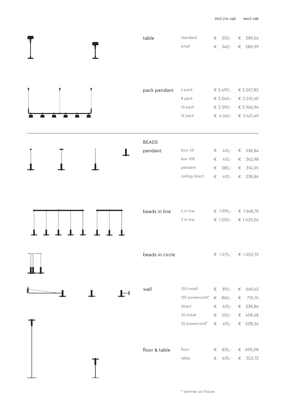|  |  | table                   | standard<br>small                                                      | $\in$<br>$\in$                   | $350 -$<br>$340 -$                                         | $\in$                   | 289,26<br>€ 280,99                                     |
|--|--|-------------------------|------------------------------------------------------------------------|----------------------------------|------------------------------------------------------------|-------------------------|--------------------------------------------------------|
|  |  | pack pendant            | 6 pack<br>8 pack<br>10 pack<br>12 pack                                 |                                  | € 2.490,-<br>€ $3.040 -$<br>€ 3.590,-<br>€ 4.140,-         |                         | € 2.057,85<br>€ 2.512,40<br>€ 2.966,94<br>€ 3.421,49   |
|  |  | <b>BEADS</b><br>pendant | box 50<br>box 108<br>pendant<br>ceiling direct                         | $\in$<br>$\in$<br>$\in$<br>$\in$ | $410 -$<br>$415 -$<br>$380 -$<br>$410 -$                   | $\in$<br>$\in$<br>$\in$ | € 338,84<br>342,98<br>314,05<br>338,84                 |
|  |  | beads in line           | 5 in line<br>3 in line                                                 |                                  | € $1.995 -$<br>€ $1.250 -$                                 |                         | € 1.648,76<br>€ 1.033,06                               |
|  |  | beads in circle         |                                                                        |                                  | € 1.275,- € 1.053,72                                       |                         |                                                        |
|  |  | wall                    | 120 install<br>120 powercord*<br>direct<br>35 install<br>35 powercord* |                                  | € $810-$<br>€ $860 -$<br>€ 410,-<br>€ $555 -$<br>€ $615 -$ | $\in$                   | € 669,42<br>710,74<br>€ 338,84<br>€ 458,68<br>€ 508,26 |
|  |  | floor & table           | floor<br>table                                                         |                                  | € $835 -$<br>€ $670 -$                                     |                         | € 690,08<br>€ 553,72                                   |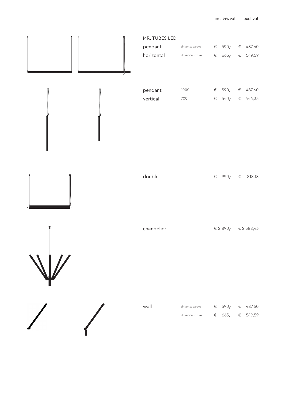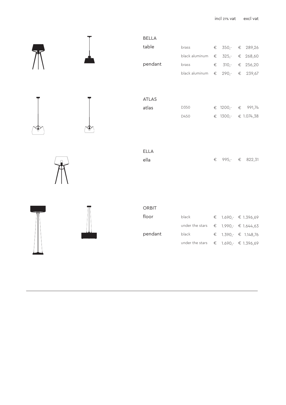incl 21% vat excl vat

|  | <b>BELLA</b> |                                                   |       |         |                         |
|--|--------------|---------------------------------------------------|-------|---------|-------------------------|
|  | table        | brass                                             | $\in$ |         | 350,- € 289,26          |
|  |              | black aluminum $\epsilon$ 325,-                   |       |         | € 268,60                |
|  | pendant      | brass                                             |       |         | € 310,- € 256,20        |
|  |              | black aluminum $\epsilon$ 290,- $\epsilon$ 239,67 |       |         |                         |
|  |              |                                                   |       |         |                         |
|  |              |                                                   |       |         |                         |
|  | ATLAS        |                                                   |       |         |                         |
|  | atlas        | D350                                              |       |         | € 1200,- € 991,74       |
|  |              | D450                                              |       |         | € 1300,- € 1.074,38     |
|  |              |                                                   |       |         |                         |
|  |              |                                                   |       |         |                         |
|  | ELLA         |                                                   |       |         |                         |
|  | ella         |                                                   |       | € 995,- | € 822,31                |
|  |              |                                                   |       |         |                         |
|  |              |                                                   |       |         |                         |
|  |              |                                                   |       |         |                         |
|  |              |                                                   |       |         |                         |
|  | ORBIT        |                                                   |       |         |                         |
|  | floor        | black                                             |       |         | € 1.690, $\in$ 1.396,69 |
|  |              | under the stars                                   |       |         | € 1.990,- € 1.644,63    |
|  | pendant      | black                                             | $\in$ |         | $1.390r$ € 1.148,76     |
|  |              | under the stars                                   |       |         | $1.690,-$ € 1.396,69    |
|  |              |                                                   | $\in$ |         |                         |
|  |              |                                                   |       |         |                         |